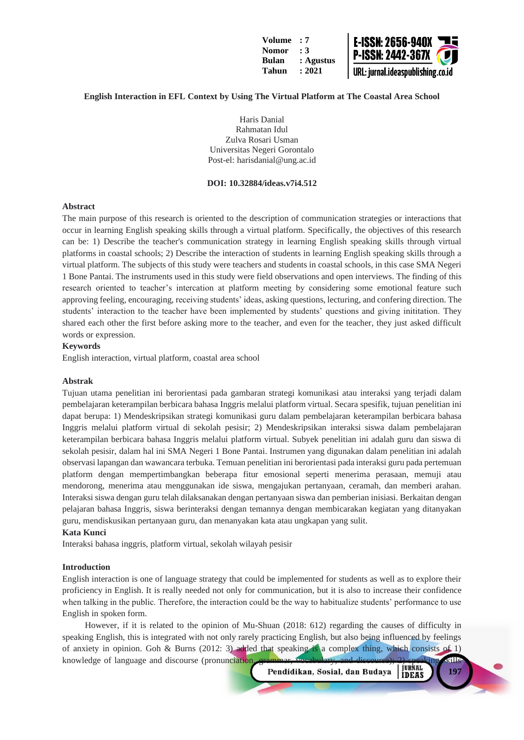

# **English Interaction in EFL Context by Using The Virtual Platform at The Coastal Area School**

Haris Danial Rahmatan Idul Zulva Rosari Usman Universitas Negeri Gorontalo Post-el: harisdanial@ung.ac.id

# **DOI: 10.32884/ideas.v7i4.512**

### **Abstract**

The main purpose of this research is oriented to the description of communication strategies or interactions that occur in learning English speaking skills through a virtual platform. Specifically, the objectives of this research can be: 1) Describe the teacher's communication strategy in learning English speaking skills through virtual platforms in coastal schools; 2) Describe the interaction of students in learning English speaking skills through a virtual platform. The subjects of this study were teachers and students in coastal schools, in this case SMA Negeri 1 Bone Pantai. The instruments used in this study were field observations and open interviews. The finding of this research oriented to teacher's intercation at platform meeting by considering some emotional feature such approving feeling, encouraging, receiving students' ideas, asking questions, lecturing, and confering direction. The students' interaction to the teacher have been implemented by students' questions and giving inititation. They shared each other the first before asking more to the teacher, and even for the teacher, they just asked difficult words or expression.

# **Keywords**

English interaction, virtual platform, coastal area school

### **Abstrak**

Tujuan utama penelitian ini berorientasi pada gambaran strategi komunikasi atau interaksi yang terjadi dalam pembelajaran keterampilan berbicara bahasa Inggris melalui platform virtual. Secara spesifik, tujuan penelitian ini dapat berupa: 1) Mendeskripsikan strategi komunikasi guru dalam pembelajaran keterampilan berbicara bahasa Inggris melalui platform virtual di sekolah pesisir; 2) Mendeskripsikan interaksi siswa dalam pembelajaran keterampilan berbicara bahasa Inggris melalui platform virtual. Subyek penelitian ini adalah guru dan siswa di sekolah pesisir, dalam hal ini SMA Negeri 1 Bone Pantai. Instrumen yang digunakan dalam penelitian ini adalah observasi lapangan dan wawancara terbuka. Temuan penelitian ini berorientasi pada interaksi guru pada pertemuan platform dengan mempertimbangkan beberapa fitur emosional seperti menerima perasaan, memuji atau mendorong, menerima atau menggunakan ide siswa, mengajukan pertanyaan, ceramah, dan memberi arahan. Interaksi siswa dengan guru telah dilaksanakan dengan pertanyaan siswa dan pemberian inisiasi. Berkaitan dengan pelajaran bahasa Inggris, siswa berinteraksi dengan temannya dengan membicarakan kegiatan yang ditanyakan guru, mendiskusikan pertanyaan guru, dan menanyakan kata atau ungkapan yang sulit.

#### **Kata Kunci**

Interaksi bahasa inggris, platform virtual, sekolah wilayah pesisir

#### **Introduction**

English interaction is one of language strategy that could be implemented for students as well as to explore their proficiency in English. It is really needed not only for communication, but it is also to increase their confidence when talking in the public. Therefore, the interaction could be the way to habitualize students' performance to use English in spoken form.

However, if it is related to the opinion of Mu-Shuan (2018: 612) regarding the causes of difficulty in speaking English, this is integrated with not only rarely practicing English, but also being influenced by feelings of anxiety in opinion. Goh & Burns (2012: 3) added that speaking is a complex thing, which consists of 1) knowledge of language and discourse (pronunciation, grammar, vocabulary, and discourse); 2) speaking skills<br>Pendidikan, Sosial, dan Budaya [IDEAS]

Pendidikan, Sosial, dan Budaya

**197**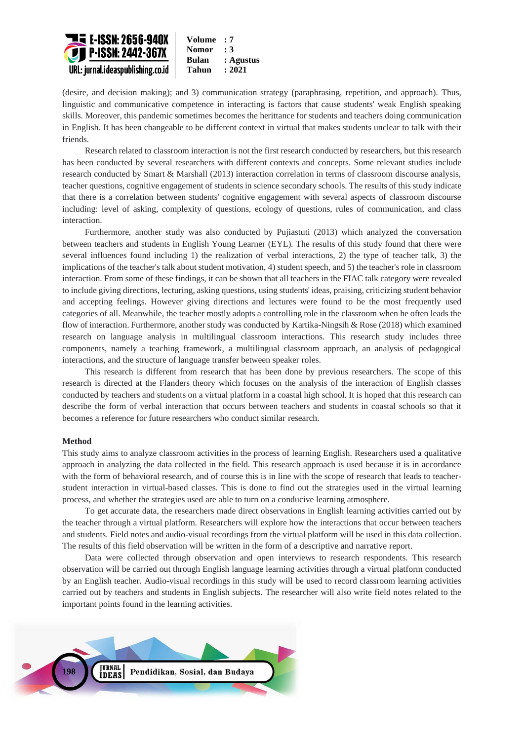

(desire, and decision making); and 3) communication strategy (paraphrasing, repetition, and approach). Thus, linguistic and communicative competence in interacting is factors that cause students' weak English speaking skills. Moreover, this pandemic sometimes becomes the herittance for students and teachers doing communication in English. It has been changeable to be different context in virtual that makes students unclear to talk with their friends.

Research related to classroom interaction is not the first research conducted by researchers, but this research has been conducted by several researchers with different contexts and concepts. Some relevant studies include research conducted by Smart & Marshall (2013) interaction correlation in terms of classroom discourse analysis, teacher questions, cognitive engagement of students in science secondary schools. The results of this study indicate that there is a correlation between students' cognitive engagement with several aspects of classroom discourse including: level of asking, complexity of questions, ecology of questions, rules of communication, and class interaction.

Furthermore, another study was also conducted by Pujiastuti (2013) which analyzed the conversation between teachers and students in English Young Learner (EYL). The results of this study found that there were several influences found including 1) the realization of verbal interactions, 2) the type of teacher talk, 3) the implications of the teacher's talk about student motivation, 4) student speech, and 5) the teacher's role in classroom interaction. From some of these findings, it can be shown that all teachers in the FIAC talk category were revealed to include giving directions, lecturing, asking questions, using students' ideas, praising, criticizing student behavior and accepting feelings. However giving directions and lectures were found to be the most frequently used categories of all. Meanwhile, the teacher mostly adopts a controlling role in the classroom when he often leads the flow of interaction. Furthermore, another study was conducted by Kartika-Ningsih & Rose (2018) which examined research on language analysis in multilingual classroom interactions. This research study includes three components, namely a teaching framework, a multilingual classroom approach, an analysis of pedagogical interactions, and the structure of language transfer between speaker roles.

This research is different from research that has been done by previous researchers. The scope of this research is directed at the Flanders theory which focuses on the analysis of the interaction of English classes conducted by teachers and students on a virtual platform in a coastal high school. It is hoped that this research can describe the form of verbal interaction that occurs between teachers and students in coastal schools so that it becomes a reference for future researchers who conduct similar research.

### **Method**

This study aims to analyze classroom activities in the process of learning English. Researchers used a qualitative approach in analyzing the data collected in the field. This research approach is used because it is in accordance with the form of behavioral research, and of course this is in line with the scope of research that leads to teacherstudent interaction in virtual-based classes. This is done to find out the strategies used in the virtual learning process, and whether the strategies used are able to turn on a conducive learning atmosphere.

To get accurate data, the researchers made direct observations in English learning activities carried out by the teacher through a virtual platform. Researchers will explore how the interactions that occur between teachers and students. Field notes and audio-visual recordings from the virtual platform will be used in this data collection. The results of this field observation will be written in the form of a descriptive and narrative report.

Data were collected through observation and open interviews to research respondents. This research observation will be carried out through English language learning activities through a virtual platform conducted by an English teacher. Audio-visual recordings in this study will be used to record classroom learning activities carried out by teachers and students in English subjects. The researcher will also write field notes related to the important points found in the learning activities.

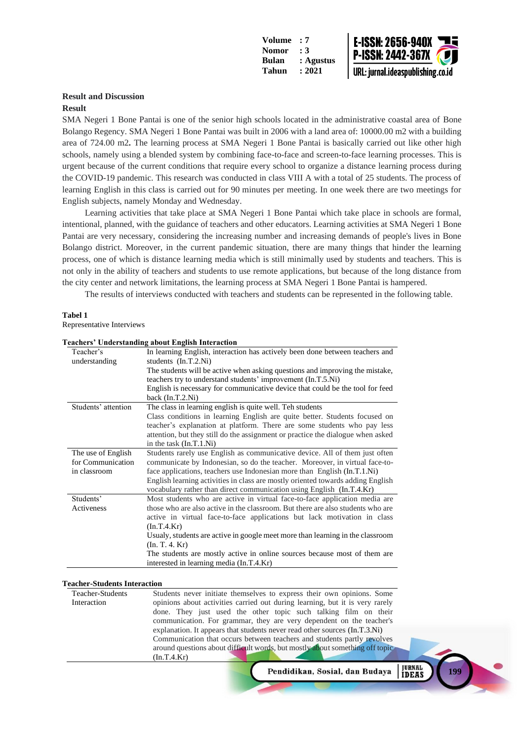

**199**

# **Result and Discussion**

#### **Result**

SMA Negeri 1 Bone Pantai is one of the senior high schools located in the administrative coastal area of Bone Bolango Regency. SMA Negeri 1 Bone Pantai was built in 2006 with a land area of: 10000.00 m2 with a building area of 724.00 m2**.** The learning process at SMA Negeri 1 Bone Pantai is basically carried out like other high schools, namely using a blended system by combining face-to-face and screen-to-face learning processes. This is urgent because of the current conditions that require every school to organize a distance learning process during the COVID-19 pandemic. This research was conducted in class VIII A with a total of 25 students. The process of learning English in this class is carried out for 90 minutes per meeting. In one week there are two meetings for English subjects, namely Monday and Wednesday.

Learning activities that take place at SMA Negeri 1 Bone Pantai which take place in schools are formal, intentional, planned, with the guidance of teachers and other educators. Learning activities at SMA Negeri 1 Bone Pantai are very necessary, considering the increasing number and increasing demands of people's lives in Bone Bolango district. Moreover, in the current pandemic situation, there are many things that hinder the learning process, one of which is distance learning media which is still minimally used by students and teachers. This is not only in the ability of teachers and students to use remote applications, but because of the long distance from the city center and network limitations, the learning process at SMA Negeri 1 Bone Pantai is hampered.

The results of interviews conducted with teachers and students can be represented in the following table.

#### **Tabel 1**

Representative Interviews

|                            | caencis - e nuei stanuing about English Interaction                                                                                                                                                                                      |
|----------------------------|------------------------------------------------------------------------------------------------------------------------------------------------------------------------------------------------------------------------------------------|
| Teacher's<br>understanding | In learning English, interaction has actively been done between teachers and<br>students $(In.T.2.Ni)$                                                                                                                                   |
|                            | The students will be active when asking questions and improving the mistake,<br>teachers try to understand students' improvement (In.T.5.Ni)                                                                                             |
|                            | English is necessary for communicative device that could be the tool for feed<br>back $(In.T.2.Ni)$                                                                                                                                      |
| Students' attention        | The class in learning english is quite well. Teh students                                                                                                                                                                                |
|                            | Class conditions in learning English are quite better. Students focused on<br>teacher's explanation at platform. There are some students who pay less<br>attention, but they still do the assignment or practice the dialogue when asked |
|                            | in the task $(In.T.1.Ni)$                                                                                                                                                                                                                |
| The use of English         | Students rarely use English as communicative device. All of them just often                                                                                                                                                              |
| for Communication          | communicate by Indonesian, so do the teacher. Moreover, in virtual face-to-                                                                                                                                                              |
| in classroom               | face applications, teachers use Indonesian more than English (In.T.1.Ni)                                                                                                                                                                 |
|                            | English learning activities in class are mostly oriented towards adding English<br>vocabulary rather than direct communication using English (In.T.4.Kr)                                                                                 |
| Students'                  | Most students who are active in virtual face-to-face application media are                                                                                                                                                               |
| Activeness                 | those who are also active in the classroom. But there are also students who are                                                                                                                                                          |
|                            | active in virtual face-to-face applications but lack motivation in class                                                                                                                                                                 |
|                            | (In.T.4.Kr)                                                                                                                                                                                                                              |
|                            | Usualy, students are active in google meet more than learning in the classroom                                                                                                                                                           |
|                            | (In. T. 4. Kr)                                                                                                                                                                                                                           |
|                            | The students are mostly active in online sources because most of them are                                                                                                                                                                |
|                            | interested in learning media (In.T.4.Kr)                                                                                                                                                                                                 |

# **Teachers' Understanding about English Interaction**

#### **Teacher-Students Interaction**

| Teacher-Students | Students never initiate themselves to express their own opinions. Some       |
|------------------|------------------------------------------------------------------------------|
| Interaction      | opinions about activities carried out during learning, but it is very rarely |
|                  | done. They just used the other topic such talking film on their              |
|                  | communication. For grammar, they are very dependent on the teacher's         |
|                  | explanation. It appears that students never read other sources (In.T.3.Ni)   |
|                  | Communication that occurs between teachers and students partly revolves      |
|                  | around questions about difficult words, but mostly about something off topic |
|                  | (In.T.4.Kr)                                                                  |
|                  | <b>JURNAL</b><br>Pendidikan, Sosial, dan Budaya<br><b>IDEAS</b>              |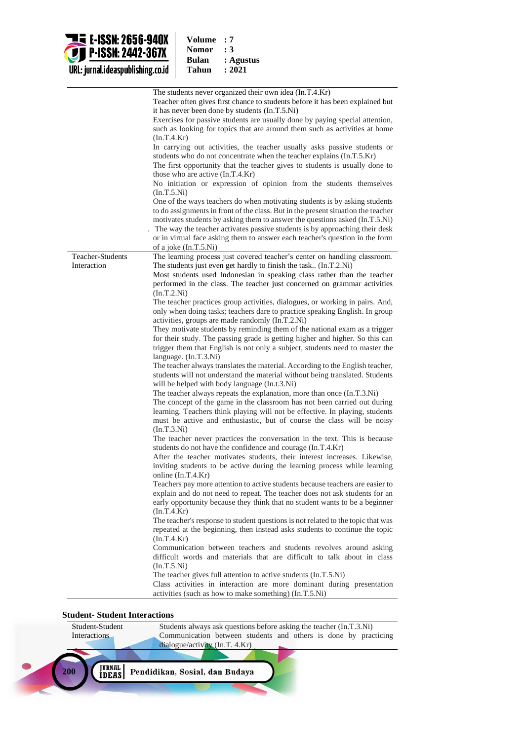

| : 7       |
|-----------|
| : 3       |
| : Agustus |
| : 2021    |
|           |

|                                 | The students never organized their own idea (In.T.4.Kr)<br>Teacher often gives first chance to students before it has been explained but<br>it has never been done by students (In.T.5.Ni)<br>Exercises for passive students are usually done by paying special attention,<br>such as looking for topics that are around them such as activities at home<br>(In.T.4.Kr)<br>In carrying out activities, the teacher usually asks passive students or<br>students who do not concentrate when the teacher explains (In.T.5.Kr)<br>The first opportunity that the teacher gives to students is usually done to<br>those who are active (In.T.4.Kr)<br>No initiation or expression of opinion from the students themselves<br>(In.T.5.Ni)<br>One of the ways teachers do when motivating students is by asking students<br>to do assignments in front of the class. But in the present situation the teacher<br>motivates students by asking them to answer the questions asked (In.T.5.Ni)<br>The way the teacher activates passive students is by approaching their desk<br>or in virtual face asking them to answer each teacher's question in the form |
|---------------------------------|--------------------------------------------------------------------------------------------------------------------------------------------------------------------------------------------------------------------------------------------------------------------------------------------------------------------------------------------------------------------------------------------------------------------------------------------------------------------------------------------------------------------------------------------------------------------------------------------------------------------------------------------------------------------------------------------------------------------------------------------------------------------------------------------------------------------------------------------------------------------------------------------------------------------------------------------------------------------------------------------------------------------------------------------------------------------------------------------------------------------------------------------------------|
|                                 | of a joke (In.T.5.Ni)                                                                                                                                                                                                                                                                                                                                                                                                                                                                                                                                                                                                                                                                                                                                                                                                                                                                                                                                                                                                                                                                                                                                  |
| Teacher-Students<br>Interaction | The learning process just covered teacher's center on handling classroom.<br>The students just even get hardly to finish the task (In.T.2.Ni)<br>Most students used Indonesian in speaking class rather than the teacher<br>performed in the class. The teacher just concerned on grammar activities<br>(In.T.2.Ni)                                                                                                                                                                                                                                                                                                                                                                                                                                                                                                                                                                                                                                                                                                                                                                                                                                    |
|                                 | The teacher practices group activities, dialogues, or working in pairs. And,<br>only when doing tasks; teachers dare to practice speaking English. In group<br>activities, groups are made randomly (In.T.2.Ni)                                                                                                                                                                                                                                                                                                                                                                                                                                                                                                                                                                                                                                                                                                                                                                                                                                                                                                                                        |
|                                 | They motivate students by reminding them of the national exam as a trigger<br>for their study. The passing grade is getting higher and higher. So this can<br>trigger them that English is not only a subject, students need to master the<br>language. $(In.T.3.Ni)$                                                                                                                                                                                                                                                                                                                                                                                                                                                                                                                                                                                                                                                                                                                                                                                                                                                                                  |
|                                 | The teacher always translates the material. According to the English teacher,<br>students will not understand the material without being translated. Students<br>will be helped with body language (In.t.3.Ni)                                                                                                                                                                                                                                                                                                                                                                                                                                                                                                                                                                                                                                                                                                                                                                                                                                                                                                                                         |
|                                 | The teacher always repeats the explanation, more than once (In.T.3.Ni)<br>The concept of the game in the classroom has not been carried out during<br>learning. Teachers think playing will not be effective. In playing, students<br>must be active and enthusiastic, but of course the class will be noisy<br>(In.T.3.Ni)                                                                                                                                                                                                                                                                                                                                                                                                                                                                                                                                                                                                                                                                                                                                                                                                                            |
|                                 | The teacher never practices the conversation in the text. This is because<br>students do not have the confidence and courage (In.T.4.Kr)<br>After the teacher motivates students, their interest increases. Likewise,<br>inviting students to be active during the learning process while learning<br>online $(In.T.4.Kr)$                                                                                                                                                                                                                                                                                                                                                                                                                                                                                                                                                                                                                                                                                                                                                                                                                             |
|                                 | Teachers pay more attention to active students because teachers are easier to<br>explain and do not need to repeat. The teacher does not ask students for an<br>early opportunity because they think that no student wants to be a beginner<br>(In.T.4.Kr)                                                                                                                                                                                                                                                                                                                                                                                                                                                                                                                                                                                                                                                                                                                                                                                                                                                                                             |
|                                 | The teacher's response to student questions is not related to the topic that was<br>repeated at the beginning, then instead asks students to continue the topic<br>(In.T.4.Kr)                                                                                                                                                                                                                                                                                                                                                                                                                                                                                                                                                                                                                                                                                                                                                                                                                                                                                                                                                                         |
|                                 | Communication between teachers and students revolves around asking<br>difficult words and materials that are difficult to talk about in class<br>(In.T.5.Ni)                                                                                                                                                                                                                                                                                                                                                                                                                                                                                                                                                                                                                                                                                                                                                                                                                                                                                                                                                                                           |
|                                 | The teacher gives full attention to active students (In.T.5.Ni)<br>Class activities in interaction are more dominant during presentation<br>activities (such as how to make something) (In.T.5.Ni)                                                                                                                                                                                                                                                                                                                                                                                                                                                                                                                                                                                                                                                                                                                                                                                                                                                                                                                                                     |

# **Student- Student Interactions**

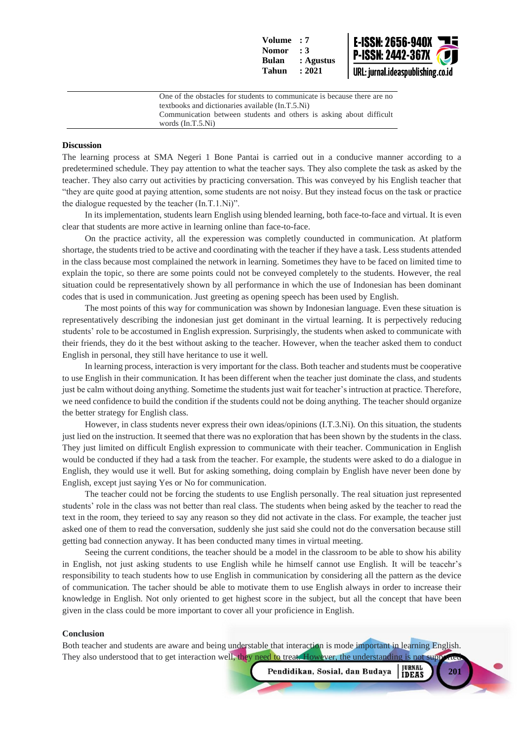

One of the obstacles for students to communicate is because there are no textbooks and dictionaries available (In.T.5.Ni) Communication between students and others is asking about difficult words (In.T.5.Ni)

### **Discussion**

The learning process at SMA Negeri 1 Bone Pantai is carried out in a conducive manner according to a predetermined schedule. They pay attention to what the teacher says. They also complete the task as asked by the teacher. They also carry out activities by practicing conversation. This was conveyed by his English teacher that "they are quite good at paying attention, some students are not noisy. But they instead focus on the task or practice the dialogue requested by the teacher (In.T.1.Ni)".

In its implementation, students learn English using blended learning, both face-to-face and virtual. It is even clear that students are more active in learning online than face-to-face.

On the practice activity, all the experession was completly counducted in communication. At platform shortage, the students tried to be active and coordinating with the teacher if they have a task. Less students attended in the class because most complained the network in learning. Sometimes they have to be faced on limited time to explain the topic, so there are some points could not be conveyed completely to the students. However, the real situation could be representatively shown by all performance in which the use of Indonesian has been dominant codes that is used in communication. Just greeting as opening speech has been used by English.

The most points of this way for communication was shown by Indonesian language. Even these situation is representatively describing the indonesian just get dominant in the virtual learning. It is perpectively reducing students' role to be accostumed in English expression. Surprisingly, the students when asked to communicate with their friends, they do it the best without asking to the teacher. However, when the teacher asked them to conduct English in personal, they still have heritance to use it well.

In learning process, interaction is very important for the class. Both teacher and students must be cooperative to use English in their communication. It has been different when the teacher just dominate the class, and students just be calm without doing anything. Sometime the students just wait for teacher's intruction at practice. Therefore, we need confidence to build the condition if the students could not be doing anything. The teacher should organize the better strategy for English class.

However, in class students never express their own ideas/opinions (I.T.3.Ni). On this situation, the students just lied on the instruction. It seemed that there was no exploration that has been shown by the students in the class. They just limited on difficult English expression to communicate with their teacher. Communication in English would be conducted if they had a task from the teacher. For example, the students were asked to do a dialogue in English, they would use it well. But for asking something, doing complain by English have never been done by English, except just saying Yes or No for communication.

The teacher could not be forcing the students to use English personally. The real situation just represented students' role in the class was not better than real class. The students when being asked by the teacher to read the text in the room, they terieed to say any reason so they did not activate in the class. For example, the teacher just asked one of them to read the conversation, suddenly she just said she could not do the conversation because still getting bad connection anyway. It has been conducted many times in virtual meeting.

Seeing the current conditions, the teacher should be a model in the classroom to be able to show his ability in English, not just asking students to use English while he himself cannot use English. It will be teacehr's responsibility to teach students how to use English in communication by considering all the pattern as the device of communication. The tacher should be able to motivate them to use English always in order to increase their knowledge in English. Not only oriented to get highest score in the subject, but all the concept that have been given in the class could be more important to cover all your proficience in English.

#### **Conclusion**

Both teacher and students are aware and being understable that interaction is mode important in learning English. They also understood that to get interaction well, they need to treat. However, the understanding is not support

**JURNAL**<br>**IDEAS** Pendidikan, Sosial, dan Budaya

**201**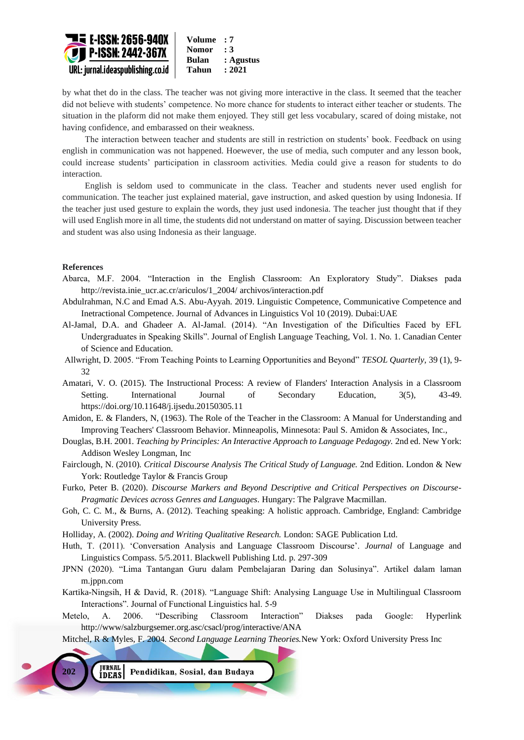

by what thet do in the class. The teacher was not giving more interactive in the class. It seemed that the teacher did not believe with students' competence. No more chance for students to interact either teacher or students. The situation in the plaform did not make them enjoyed. They still get less vocabulary, scared of doing mistake, not having confidence, and embarassed on their weakness.

The interaction between teacher and students are still in restriction on students' book. Feedback on using english in communication was not happened. Hoewever, the use of media, such computer and any lesson book, could increase students' participation in classroom activities. Media could give a reason for students to do interaction.

English is seldom used to communicate in the class. Teacher and students never used english for communication. The teacher just explained material, gave instruction, and asked question by using Indonesia. If the teacher just used gesture to explain the words, they just used indonesia. The teacher just thought that if they will used English more in all time, the students did not understand on matter of saying. Discussion between teacher and student was also using Indonesia as their language.

# **References**

- Abarca, M.F. 2004. "Interaction in the English Classroom: An Exploratory Study". Diakses pada [http://revista.inie\\_ucr.ac.cr/ariculos/1\\_2004/](http://revista.inie_ucr.ac.cr/ariculos/1_2004/) archivos/interaction.pdf
- Abdulrahman, N.C and Emad A.S. Abu-Ayyah. 2019. Linguistic Competence, Communicative Competence and Inetractional Competence. Journal of Advances in Linguistics Vol 10 (2019). Dubai:UAE
- Al-Jamal, D.A. and Ghadeer A. Al-Jamal. (2014). "An Investigation of the Dificulties Faced by EFL Undergraduates in Speaking Skills". Journal of English Language Teaching, Vol. 1. No. 1. Canadian Center of Science and Education.
- Allwright, D. 2005. "From Teaching Points to Learning Opportunities and Beyond" *TESOL Quarterly,* 39 (1), 9- 32
- Amatari, V. O. (2015). The Instructional Process: A review of Flanders' Interaction Analysis in a Classroom Setting. International Journal of Secondary Education, 3(5), 43-49. https://doi.org/10.11648/j.ijsedu.20150305.11
- Amidon, E. & Flanders, N, (1963). The Role of the Teacher in the Classroom: A Manual for Understanding and Improving Teachers' Classroom Behavior. Minneapolis, Minnesota: Paul S. Amidon & Associates, Inc.,
- Douglas, B.H. 2001. *Teaching by Principles: An Interactive Approach to Language Pedagogy.* 2nd ed. New York: Addison Wesley Longman, Inc
- Fairclough, N. (2010). *Critical Discourse Analysis The Critical Study of Language.* 2nd Edition. London & New York: Routledge Taylor & Francis Group
- Furko, Peter B. (2020). *Discourse Markers and Beyond Descriptive and Critical Perspectives on Discourse-Pragmatic Devices across Genres and Languages*. Hungary: The Palgrave Macmillan.
- Goh, C. C. M., & Burns, A. (2012). Teaching speaking: A holistic approach. Cambridge, England: Cambridge University Press.
- Holliday, A. (2002). *Doing and Writing Qualitative Research.* London: SAGE Publication Ltd.
- Huth, T. (2011). 'Conversation Analysis and Language Classroom Discourse'. *Journal* of Language and Linguistics Compass. 5/5.2011. Blackwell Publishing Ltd. p. 297-309
- JPNN (2020). "Lima Tantangan Guru dalam Pembelajaran Daring dan Solusinya". Artikel dalam laman m.jppn.com
- Kartika-Ningsih, H & David, R. (2018). "Language Shift: Analysing Language Use in Multilingual Classroom Interactions". Journal of Functional Linguistics hal. 5-9
- Metelo, A. 2006. "Describing Classroom Interaction" Diakses pada Google: Hyperlink http://www/salzburgsemer.org.asc/csacl/prog/interactive/ANA

Mitchel, R & Myles, F. 2004. *Second Language Learning Theories.*New York: Oxford University Press Inc

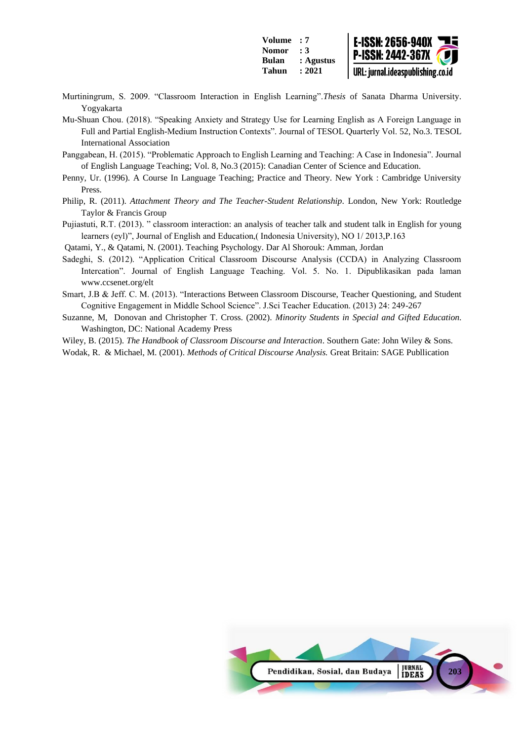

- Murtiningrum, S. 2009. "Classroom Interaction in English Learning".*Thesis* of Sanata Dharma University. Yogyakarta
- Mu-Shuan Chou. (2018). "Speaking Anxiety and Strategy Use for Learning English as A Foreign Language in Full and Partial English-Medium Instruction Contexts". Journal of TESOL Quarterly Vol. 52, No.3. TESOL International Association
- Panggabean, H. (2015). "Problematic Approach to English Learning and Teaching: A Case in Indonesia". Journal of English Language Teaching; Vol. 8, No.3 (2015): Canadian Center of Science and Education.
- Penny, Ur. (1996). A Course In Language Teaching; Practice and Theory. New York : Cambridge University Press.
- Philip, R. (2011). *Attachment Theory and The Teacher-Student Relationship*. London, New York: Routledge Taylor & Francis Group
- Pujiastuti, R.T. (2013). " classroom interaction: an analysis of teacher talk and student talk in English for young learners (eyl)", Journal of English and Education,( Indonesia University), NO 1/ 2013,P.163
- Qatami, Y., & Qatami, N. (2001). Teaching Psychology. Dar Al Shorouk: Amman, Jordan
- Sadeghi, S. (2012). "Application Critical Classroom Discourse Analysis (CCDA) in Analyzing Classroom Intercation". Journal of English Language Teaching. Vol. 5. No. 1. Dipublikasikan pada laman www.ccsenet.org/elt
- Smart, J.B & Jeff. C. M. (2013). "Interactions Between Classroom Discourse, Teacher Questioning, and Student Cognitive Engagement in Middle School Science". J.Sci Teacher Education. (2013) 24: 249-267
- Suzanne, M, Donovan and Christopher T. Cross. (2002). *Minority Students in Special and Gifted Education*. Washington, DC: National Academy Press
- Wiley, B. (2015). *The Handbook of Classroom Discourse and Interaction*. Southern Gate: John Wiley & Sons.
- Wodak, R. & Michael, M. (2001). *Methods of Critical Discourse Analysis.* Great Britain: SAGE Publlication